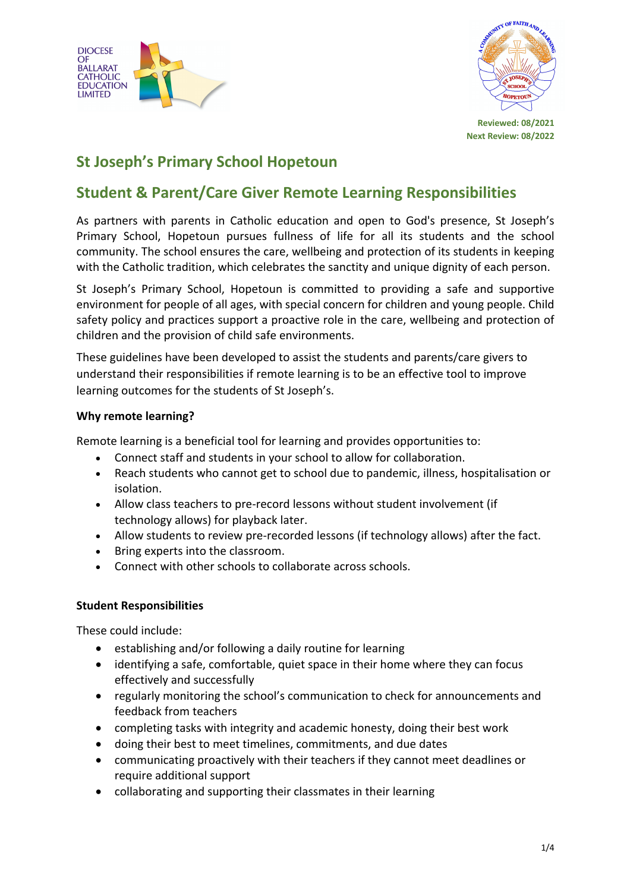



# **St Joseph's Primary School Hopetoun**

## **Student & Parent/Care Giver Remote Learning Responsibilities**

As partners with parents in Catholic education and open to God's presence, St Joseph's Primary School, Hopetoun pursues fullness of life for all its students and the school community. The school ensures the care, wellbeing and protection of its students in keeping with the Catholic tradition, which celebrates the sanctity and unique dignity of each person.

St Joseph's Primary School, Hopetoun is committed to providing a safe and supportive environment for people of all ages, with special concern for children and young people. Child safety policy and practices support a proactive role in the care, wellbeing and protection of children and the provision of child safe environments.

These guidelines have been developed to assist the students and parents/care givers to understand their responsibilities if remote learning is to be an effective tool to improve learning outcomes for the students of St Joseph's.

#### **Why remote learning?**

Remote learning is a beneficial tool for learning and provides opportunities to:

- Connect staff and students in your school to allow for collaboration.
- Reach students who cannot get to school due to pandemic, illness, hospitalisation or isolation.
- Allow class teachers to pre-record lessons without student involvement (if technology allows) for playback later.
- Allow students to review pre-recorded lessons (if technology allows) after the fact.
- Bring experts into the classroom.
- Connect with other schools to collaborate across schools.

#### **Student Responsibilities**

These could include:

- establishing and/or following a daily routine for learning
- identifying a safe, comfortable, quiet space in their home where they can focus effectively and successfully
- regularly monitoring the school's communication to check for announcements and feedback from teachers
- completing tasks with integrity and academic honesty, doing their best work
- doing their best to meet timelines, commitments, and due dates
- communicating proactively with their teachers if they cannot meet deadlines or require additional support
- collaborating and supporting their classmates in their learning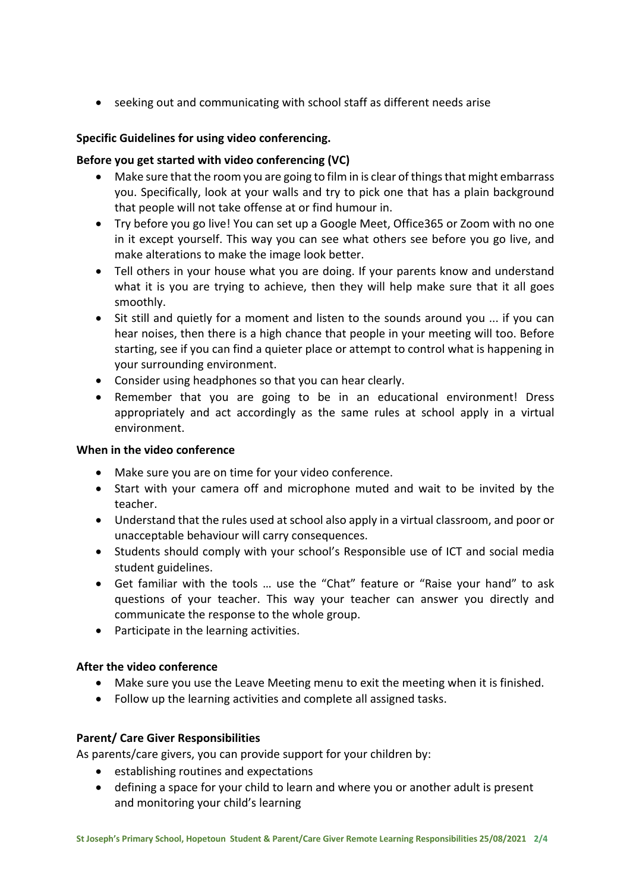• seeking out and communicating with school staff as different needs arise

## **Specific Guidelines for using video conferencing.**

#### **Before you get started with video conferencing (VC)**

- Make sure that the room you are going to film in is clear of things that might embarrass you. Specifically, look at your walls and try to pick one that has a plain background that people will not take offense at or find humour in.
- Try before you go live! You can set up a Google Meet, Office365 or Zoom with no one in it except yourself. This way you can see what others see before you go live, and make alterations to make the image look better.
- Tell others in your house what you are doing. If your parents know and understand what it is you are trying to achieve, then they will help make sure that it all goes smoothly.
- Sit still and quietly for a moment and listen to the sounds around you ... if you can hear noises, then there is a high chance that people in your meeting will too. Before starting, see if you can find a quieter place or attempt to control what is happening in your surrounding environment.
- Consider using headphones so that you can hear clearly.
- Remember that you are going to be in an educational environment! Dress appropriately and act accordingly as the same rules at school apply in a virtual environment.

#### **When in the video conference**

- Make sure you are on time for your video conference.
- Start with your camera off and microphone muted and wait to be invited by the teacher.
- Understand that the rules used at school also apply in a virtual classroom, and poor or unacceptable behaviour will carry consequences.
- Students should comply with your school's Responsible use of ICT and social media student guidelines.
- Get familiar with the tools … use the "Chat" feature or "Raise your hand" to ask questions of your teacher. This way your teacher can answer you directly and communicate the response to the whole group.
- Participate in the learning activities.

## **After the video conference**

- Make sure you use the Leave Meeting menu to exit the meeting when it is finished.
- Follow up the learning activities and complete all assigned tasks.

## **Parent/ Care Giver Responsibilities**

As parents/care givers, you can provide support for your children by:

- establishing routines and expectations
- defining a space for your child to learn and where you or another adult is present and monitoring your child's learning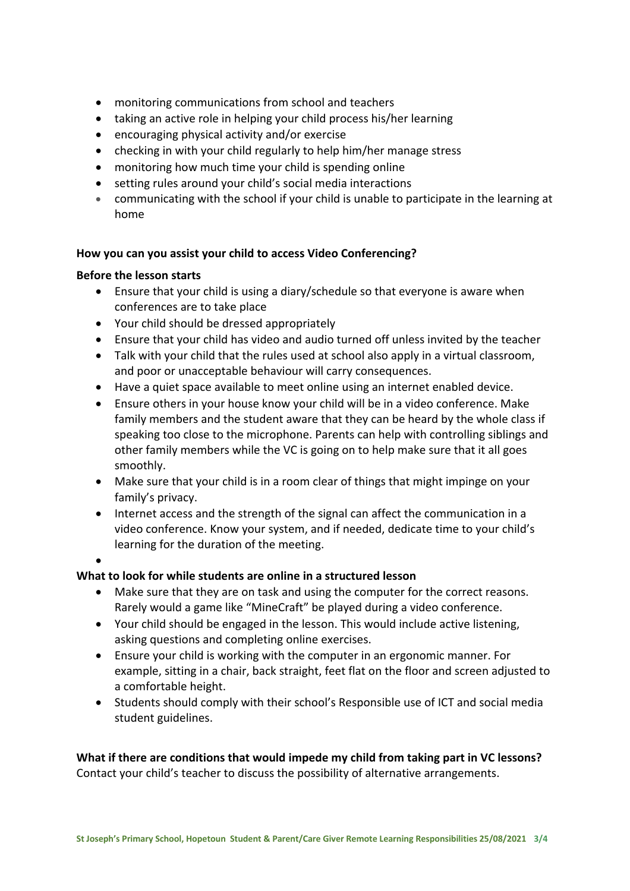- monitoring communications from school and teachers
- taking an active role in helping your child process his/her learning
- encouraging physical activity and/or exercise
- checking in with your child regularly to help him/her manage stress
- monitoring how much time your child is spending online
- setting rules around your child's social media interactions
- communicating with the school if your child is unable to participate in the learning at home

#### **How you can you assist your child to access Video Conferencing?**

#### **Before the lesson starts**

- Ensure that your child is using a diary/schedule so that everyone is aware when conferences are to take place
- Your child should be dressed appropriately
- Ensure that your child has video and audio turned off unless invited by the teacher
- Talk with your child that the rules used at school also apply in a virtual classroom, and poor or unacceptable behaviour will carry consequences.
- Have a quiet space available to meet online using an internet enabled device.
- Ensure others in your house know your child will be in a video conference. Make family members and the student aware that they can be heard by the whole class if speaking too close to the microphone. Parents can help with controlling siblings and other family members while the VC is going on to help make sure that it all goes smoothly.
- Make sure that your child is in a room clear of things that might impinge on your family's privacy.
- Internet access and the strength of the signal can affect the communication in a video conference. Know your system, and if needed, dedicate time to your child's learning for the duration of the meeting.
- •

## **What to look for while students are online in a structured lesson**

- Make sure that they are on task and using the computer for the correct reasons. Rarely would a game like "MineCraft" be played during a video conference.
- Your child should be engaged in the lesson. This would include active listening, asking questions and completing online exercises.
- Ensure your child is working with the computer in an ergonomic manner. For example, sitting in a chair, back straight, feet flat on the floor and screen adjusted to a comfortable height.
- Students should comply with their school's Responsible use of ICT and social media student guidelines.

**What if there are conditions that would impede my child from taking part in VC lessons?** Contact your child's teacher to discuss the possibility of alternative arrangements.